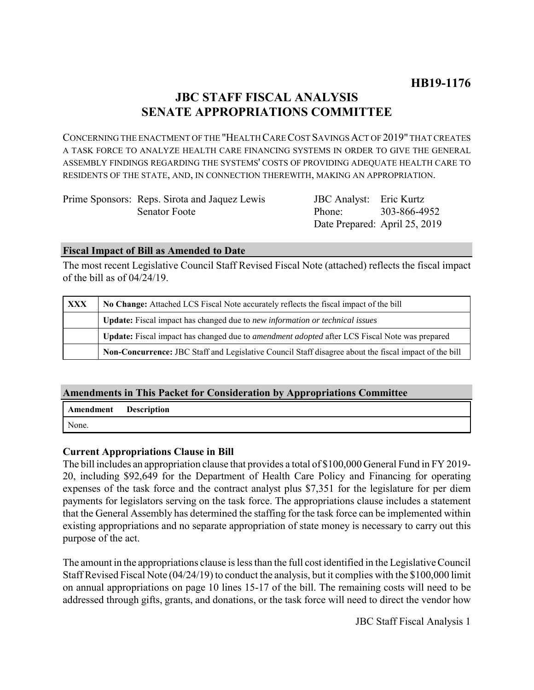# **JBC STAFF FISCAL ANALYSIS SENATE APPROPRIATIONS COMMITTEE**

CONCERNING THE ENACTMENT OF THE "HEALTH CARE COST SAVINGS ACT OF 2019" THAT CREATES A TASK FORCE TO ANALYZE HEALTH CARE FINANCING SYSTEMS IN ORDER TO GIVE THE GENERAL ASSEMBLY FINDINGS REGARDING THE SYSTEMS' COSTS OF PROVIDING ADEQUATE HEALTH CARE TO RESIDENTS OF THE STATE, AND, IN CONNECTION THEREWITH, MAKING AN APPROPRIATION.

| Prime Sponsors: Reps. Sirota and Jaquez Lewis |
|-----------------------------------------------|
| Senator Foote                                 |

JBC Analyst: Eric Kurtz Phone: Date Prepared: April 25, 2019 303-866-4952

#### **Fiscal Impact of Bill as Amended to Date**

The most recent Legislative Council Staff Revised Fiscal Note (attached) reflects the fiscal impact of the bill as of 04/24/19.

| <b>XXX</b> | No Change: Attached LCS Fiscal Note accurately reflects the fiscal impact of the bill                       |
|------------|-------------------------------------------------------------------------------------------------------------|
|            | Update: Fiscal impact has changed due to new information or technical issues                                |
|            | <b>Update:</b> Fiscal impact has changed due to <i>amendment adopted</i> after LCS Fiscal Note was prepared |
|            | Non-Concurrence: JBC Staff and Legislative Council Staff disagree about the fiscal impact of the bill       |

## **Amendments in This Packet for Consideration by Appropriations Committee**

**Amendment Description** None.

## **Current Appropriations Clause in Bill**

The bill includes an appropriation clause that provides a total of \$100,000 General Fund in FY 2019- 20, including \$92,649 for the Department of Health Care Policy and Financing for operating expenses of the task force and the contract analyst plus \$7,351 for the legislature for per diem payments for legislators serving on the task force. The appropriations clause includes a statement that the General Assembly has determined the staffing for the task force can be implemented within existing appropriations and no separate appropriation of state money is necessary to carry out this purpose of the act.

The amount in the appropriations clause is less than the full cost identified in the Legislative Council Staff Revised Fiscal Note (04/24/19) to conduct the analysis, but it complies with the \$100,000 limit on annual appropriations on page 10 lines 15-17 of the bill. The remaining costs will need to be addressed through gifts, grants, and donations, or the task force will need to direct the vendor how